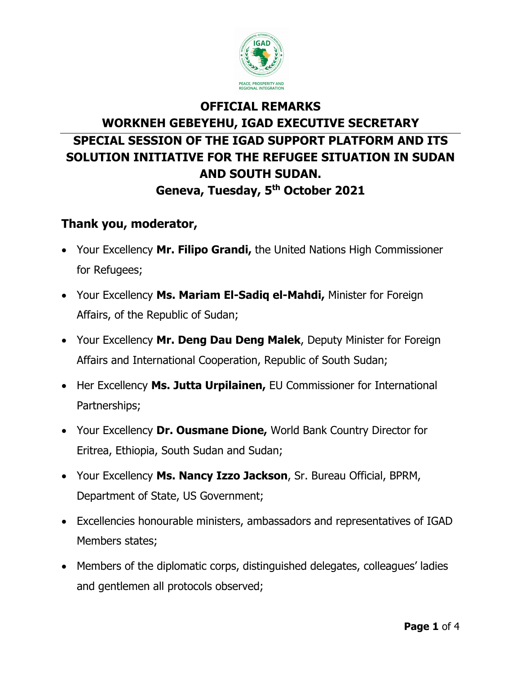

## **OFFICIAL REMARKS WORKNEH GEBEYEHU, IGAD EXECUTIVE SECRETARY SPECIAL SESSION OF THE IGAD SUPPORT PLATFORM AND ITS SOLUTION INITIATIVE FOR THE REFUGEE SITUATION IN SUDAN AND SOUTH SUDAN. Geneva, Tuesday, 5th October 2021**

## **Thank you, moderator,**

- Your Excellency **Mr. Filipo Grandi,** the United Nations High Commissioner for Refugees;
- Your Excellency **Ms. Mariam El-Sadiq el-Mahdi,** Minister for Foreign Affairs, of the Republic of Sudan;
- Your Excellency **Mr. Deng Dau Deng Malek**, Deputy Minister for Foreign Affairs and International Cooperation, Republic of South Sudan;
- Her Excellency **Ms. Jutta Urpilainen,** EU Commissioner for International Partnerships;
- Your Excellency **Dr. Ousmane Dione,** World Bank Country Director for Eritrea, Ethiopia, South Sudan and Sudan;
- Your Excellency **Ms. Nancy Izzo Jackson**, Sr. Bureau Official, BPRM, Department of State, US Government;
- Excellencies honourable ministers, ambassadors and representatives of IGAD Members states;
- Members of the diplomatic corps, distinguished delegates, colleagues' ladies and gentlemen all protocols observed;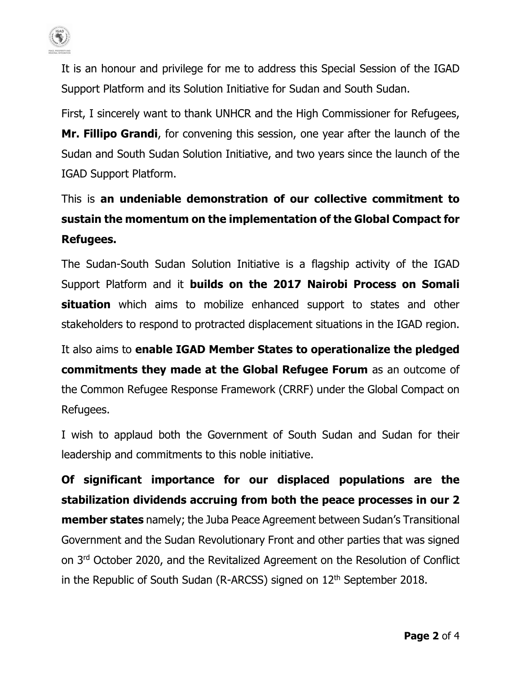

It is an honour and privilege for me to address this Special Session of the IGAD Support Platform and its Solution Initiative for Sudan and South Sudan.

First, I sincerely want to thank UNHCR and the High Commissioner for Refugees, **Mr. Fillipo Grandi**, for convening this session, one year after the launch of the Sudan and South Sudan Solution Initiative, and two years since the launch of the IGAD Support Platform.

## This is **an undeniable demonstration of our collective commitment to sustain the momentum on the implementation of the Global Compact for Refugees.**

The Sudan-South Sudan Solution Initiative is a flagship activity of the IGAD Support Platform and it **builds on the 2017 Nairobi Process on Somali situation** which aims to mobilize enhanced support to states and other stakeholders to respond to protracted displacement situations in the IGAD region.

It also aims to **enable IGAD Member States to operationalize the pledged commitments they made at the Global Refugee Forum** as an outcome of the Common Refugee Response Framework (CRRF) under the Global Compact on Refugees.

I wish to applaud both the Government of South Sudan and Sudan for their leadership and commitments to this noble initiative.

**Of significant importance for our displaced populations are the stabilization dividends accruing from both the peace processes in our 2 member states** namely; the Juba Peace Agreement between Sudan's Transitional Government and the Sudan Revolutionary Front and other parties that was signed on 3rd October 2020, and the Revitalized Agreement on the Resolution of Conflict in the Republic of South Sudan (R-ARCSS) signed on 12<sup>th</sup> September 2018.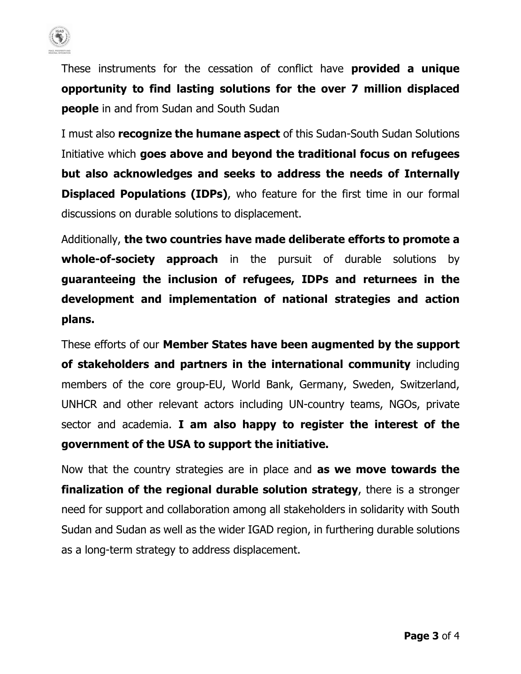

These instruments for the cessation of conflict have **provided a unique opportunity to find lasting solutions for the over 7 million displaced people** in and from Sudan and South Sudan

I must also **recognize the humane aspect** of this Sudan-South Sudan Solutions Initiative which **goes above and beyond the traditional focus on refugees but also acknowledges and seeks to address the needs of Internally Displaced Populations (IDPs)**, who feature for the first time in our formal discussions on durable solutions to displacement.

Additionally, **the two countries have made deliberate efforts to promote a whole-of-society approach** in the pursuit of durable solutions by **guaranteeing the inclusion of refugees, IDPs and returnees in the development and implementation of national strategies and action plans.** 

These efforts of our **Member States have been augmented by the support of stakeholders and partners in the international community** including members of the core group-EU, World Bank, Germany, Sweden, Switzerland, UNHCR and other relevant actors including UN-country teams, NGOs, private sector and academia. **I am also happy to register the interest of the government of the USA to support the initiative.**

Now that the country strategies are in place and **as we move towards the finalization of the regional durable solution strategy**, there is a stronger need for support and collaboration among all stakeholders in solidarity with South Sudan and Sudan as well as the wider IGAD region, in furthering durable solutions as a long-term strategy to address displacement.